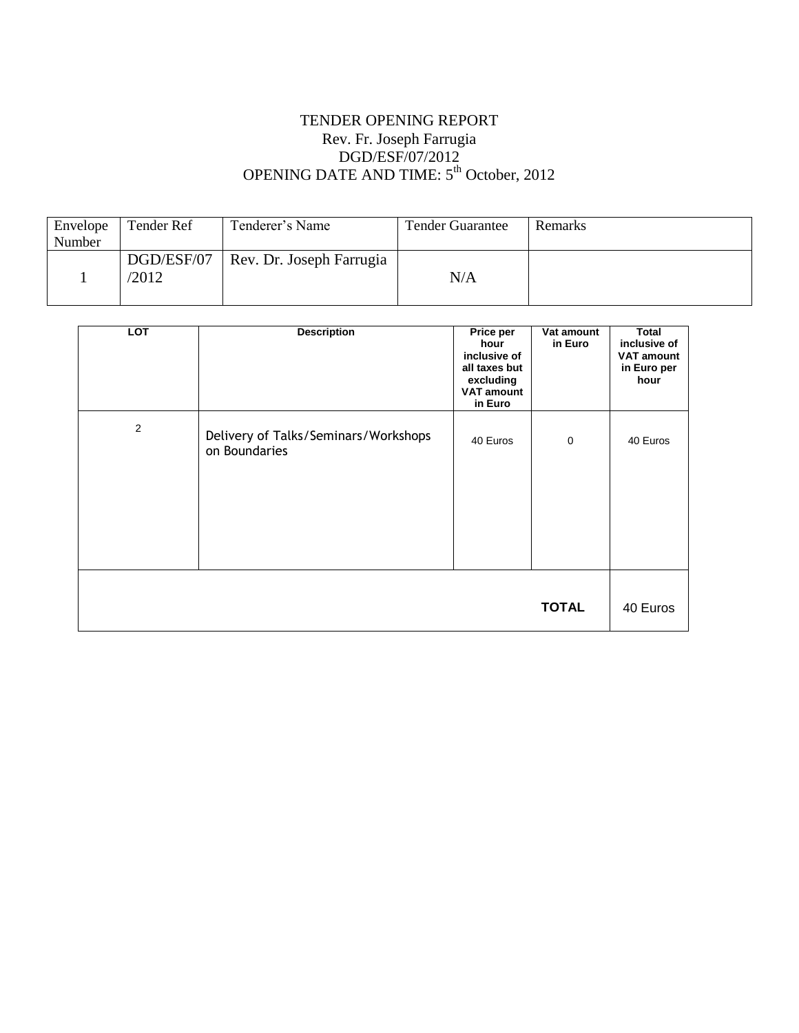# TENDER OPENING REPORT Rev. Fr. Joseph Farrugia DGD/ESF/07/2012 OPENING DATE AND TIME: 5<sup>th</sup> October, 2012

| Envelope | Tender Ref | Tenderer's Name          | <b>Tender Guarantee</b> | Remarks |
|----------|------------|--------------------------|-------------------------|---------|
| Number   |            |                          |                         |         |
|          | DGD/ESF/07 | Rev. Dr. Joseph Farrugia |                         |         |
|          | '2012      |                          | N/A                     |         |
|          |            |                          |                         |         |

| <b>LOT</b>     | <b>Description</b>                                    | Price per<br>hour<br>inclusive of<br>all taxes but<br>excluding<br><b>VAT amount</b><br>in Euro | Vat amount<br>in Euro | <b>Total</b><br>inclusive of<br><b>VAT amount</b><br>in Euro per<br>hour |
|----------------|-------------------------------------------------------|-------------------------------------------------------------------------------------------------|-----------------------|--------------------------------------------------------------------------|
| $\overline{2}$ | Delivery of Talks/Seminars/Workshops<br>on Boundaries | 40 Euros                                                                                        | $\mathbf 0$           | 40 Euros                                                                 |
|                |                                                       |                                                                                                 | <b>TOTAL</b>          | 40 Euros                                                                 |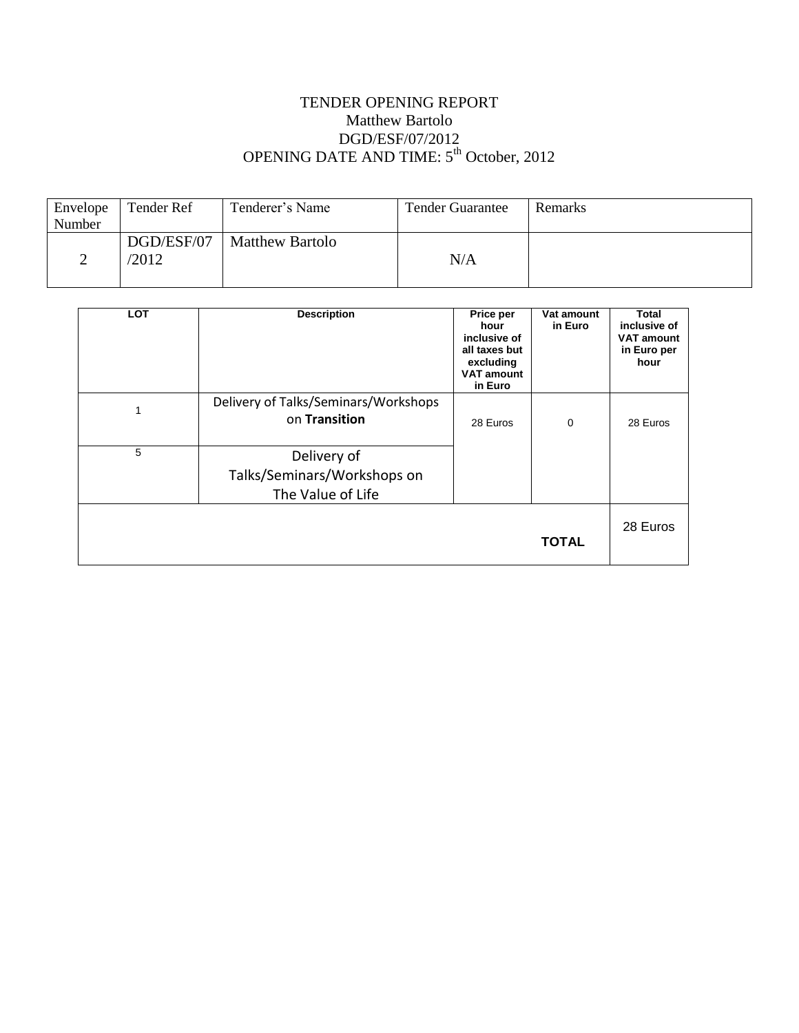## TENDER OPENING REPORT Matthew Bartolo DGD/ESF/07/2012 OPENING DATE AND TIME: 5<sup>th</sup> October, 2012

| Envelope | Tender Ref | Tenderer's Name        | <b>Tender Guarantee</b> | <b>Remarks</b> |
|----------|------------|------------------------|-------------------------|----------------|
| Number   |            |                        |                         |                |
|          | DGD/ESF/07 | <b>Matthew Bartolo</b> |                         |                |
|          | /2012      |                        | N/A                     |                |
|          |            |                        |                         |                |

| <b>LOT</b> | <b>Description</b>                                              | Price per<br>hour<br>inclusive of<br>all taxes but<br>excluding<br><b>VAT amount</b><br>in Euro | Vat amount<br>in Euro | Total<br>inclusive of<br><b>VAT amount</b><br>in Euro per<br>hour |
|------------|-----------------------------------------------------------------|-------------------------------------------------------------------------------------------------|-----------------------|-------------------------------------------------------------------|
|            | Delivery of Talks/Seminars/Workshops<br>on Transition           | 28 Euros                                                                                        | 0                     | 28 Euros                                                          |
| 5          | Delivery of<br>Talks/Seminars/Workshops on<br>The Value of Life |                                                                                                 |                       |                                                                   |
|            |                                                                 |                                                                                                 | <b>TOTAL</b>          | 28 Euros                                                          |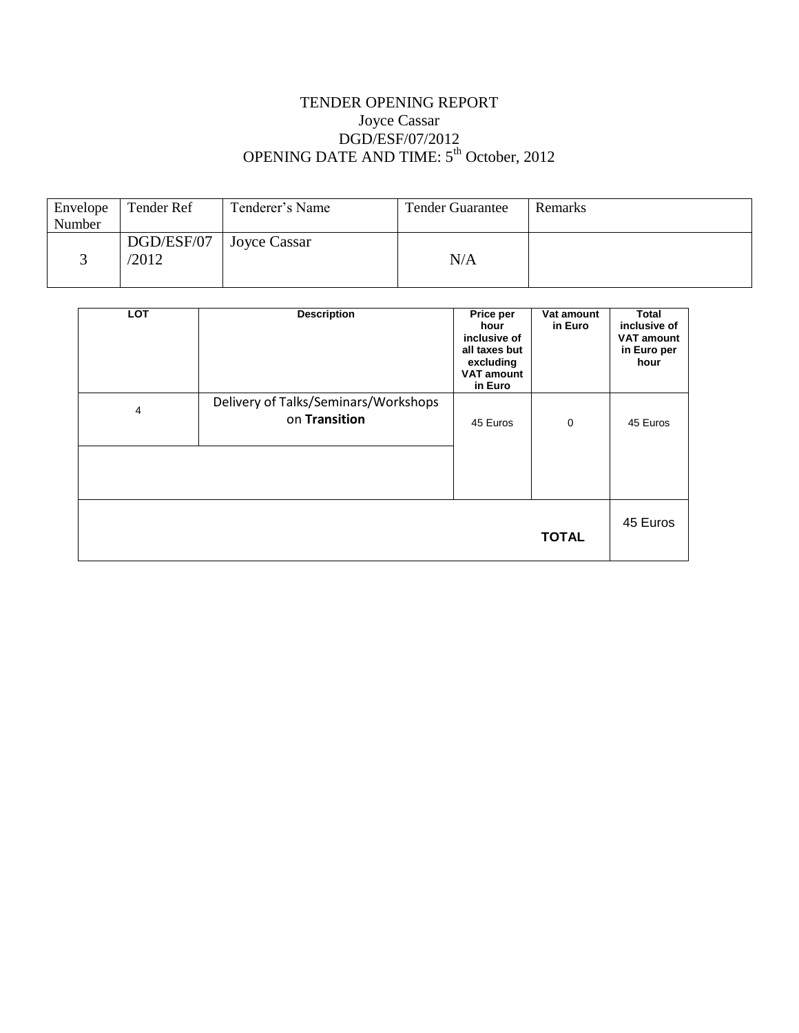# TENDER OPENING REPORT Joyce Cassar DGD/ESF/07/2012 OPENING DATE AND TIME: 5<sup>th</sup> October, 2012

| Envelope | Tender Ref | Tenderer's Name     | <b>Tender Guarantee</b> | <b>Remarks</b> |
|----------|------------|---------------------|-------------------------|----------------|
| Number   |            |                     |                         |                |
|          | DGD/ESF/07 | <b>Joyce Cassar</b> |                         |                |
|          | '2012      |                     | N/A                     |                |
|          |            |                     |                         |                |

| <b>LOT</b> | <b>Description</b>                                    | Price per<br>hour<br>inclusive of<br>all taxes but<br>excluding<br><b>VAT amount</b><br>in Euro | Vat amount<br>in Euro | Total<br>inclusive of<br><b>VAT amount</b><br>in Euro per<br>hour |
|------------|-------------------------------------------------------|-------------------------------------------------------------------------------------------------|-----------------------|-------------------------------------------------------------------|
| 4          | Delivery of Talks/Seminars/Workshops<br>on Transition | 45 Euros                                                                                        | $\mathbf 0$           | 45 Euros                                                          |
|            |                                                       |                                                                                                 | <b>TOTAL</b>          | 45 Euros                                                          |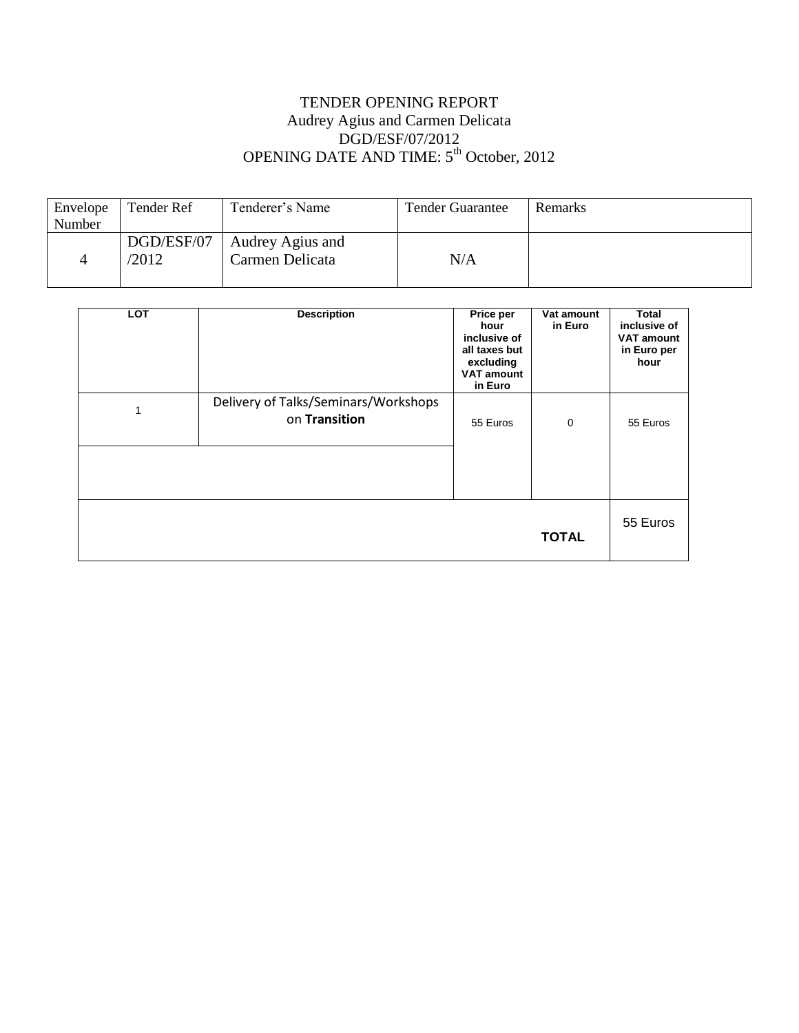# TENDER OPENING REPORT Audrey Agius and Carmen Delicata DGD/ESF/07/2012 OPENING DATE AND TIME: 5<sup>th</sup> October, 2012

| Envelope | Tender Ref | Tenderer's Name  | <b>Tender Guarantee</b> | Remarks |
|----------|------------|------------------|-------------------------|---------|
| Number   |            |                  |                         |         |
|          | DGD/ESF/07 | Audrey Agius and |                         |         |
|          | '2012      | Carmen Delicata  | N/A                     |         |
|          |            |                  |                         |         |

| <b>LOT</b> | <b>Description</b>                                    | Price per<br>hour<br>inclusive of<br>all taxes but<br>excluding<br><b>VAT amount</b><br>in Euro | Vat amount<br>in Euro | Total<br>inclusive of<br><b>VAT amount</b><br>in Euro per<br>hour |
|------------|-------------------------------------------------------|-------------------------------------------------------------------------------------------------|-----------------------|-------------------------------------------------------------------|
|            | Delivery of Talks/Seminars/Workshops<br>on Transition | 55 Euros                                                                                        | 0                     | 55 Euros                                                          |
|            |                                                       |                                                                                                 | <b>TOTAL</b>          | 55 Euros                                                          |